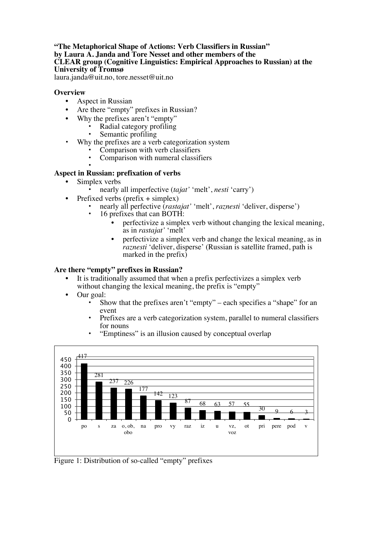# **"The Metaphorical Shape of Actions: Verb Classifiers in Russian" by Laura A. Janda and Tore Nesset and other members of the CLEAR group (Cognitive Linguistics: Empirical Approaches to Russian) at the University of Tromsø**

laura.janda@uit.no, tore.nesset@uit.no

# **Overview**

- Aspect in Russian
- Are there "empty" prefixes in Russian?
- Why the prefixes aren't "empty"
	- Radial category profiling
	- Semantic profiling
- Why the prefixes are a verb categorization system
	- Comparison with verb classifiers
	- Comparison with numeral classifiers

#### • **Aspect in Russian: prefixation of verbs**

- Simplex verbs
	- nearly all imperfective (*tajat'* 'melt', *nesti* 'carry')
- Prefixed verbs (prefix  $+$  simplex)
	- nearly all perfective (*rastajat'* 'melt', *raznesti* 'deliver, disperse')
	- 16 prefixes that can BOTH:
		- perfectivize a simplex verb without changing the lexical meaning, as in *rastajat'* 'melt'
		- perfectivize a simplex verb and change the lexical meaning, as in *raznesti* 'deliver, disperse' (Russian is satellite framed, path is marked in the prefix $\overline{\mathbf{b}}$

# **Are there "empty" prefixes in Russian?**

- It is traditionally assumed that when a prefix perfectivizes a simplex verb without changing the lexical meaning, the prefix is "empty"
- Our goal:
	- Show that the prefixes aren't "empty" each specifies a "shape" for an event
	- Prefixes are a verb categorization system, parallel to numeral classifiers for nouns



• "Emptiness" is an illusion caused by conceptual overlap

Figure 1: Distribution of so-called "empty" prefixes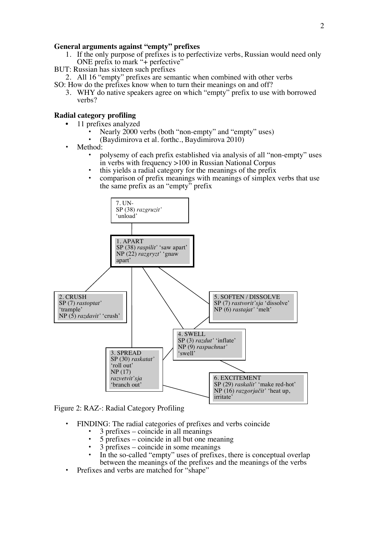## **General arguments against "empty" prefixes**

- 1. If the only purpose of prefixes is to perfectivize verbs, Russian would need only ONE prefix to mark "+ perfective"
- BUT: Russian has sixteen such prefixes
- 2. All 16 "empty" prefixes are semantic when combined with other verbs
- SO: How do the prefixes know when to turn their meanings on and off?
	- 3. WHY do native speakers agree on which "empty" prefix to use with borrowed verbs?

# **Radial category profiling**

- 11 prefixes analyzed
	- Nearly 2000 verbs (both "non-empty" and "empty" uses)
	- (Baydimirova et al. forthc., Baydimirova 2010)
- Method:
	- polysemy of each prefix established via analysis of all "non-empty" uses in verbs with frequency >100 in Russian National Corpus
	- this yields a radial category for the meanings of the prefix
	- comparison of prefix meanings with meanings of simplex verbs that use the same prefix as an "empty" prefix



Figure 2: RAZ-: Radial Category Profiling

- FINDING: The radial categories of prefixes and verbs coincide
	- 3 prefixes coincide in all meanings
	- 5 prefixes coincide in all but one meaning
	- 3 prefixes coincide in some meanings
	- In the so-called "empty" uses of prefixes, there is conceptual overlap between the meanings of the prefixes and the meanings of the verbs
- Prefixes and verbs are matched for "shape"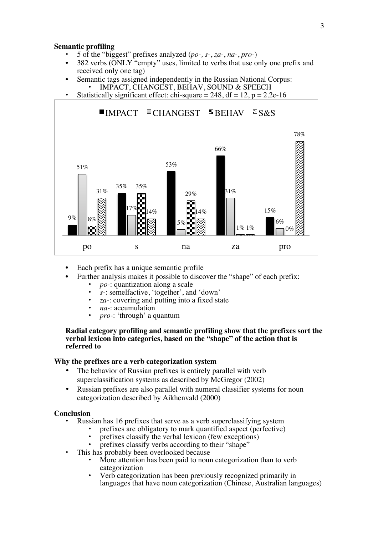### **Semantic profiling**

- 5 of the "biggest" prefixes analyzed (*po-, s-*, *za-*, *na-*, *pro-*)
- 382 verbs (ONLY "empty" uses, limited to verbs that use only one prefix and received only one tag)
- Semantic tags assigned independently in the Russian National Corpus: • IMPACT, CHANGEST, BEHAV, SOUND & SPEECH
- Statistically significant effect: chi-square =  $248$ , df =  $12$ , p =  $2.2e-16$



- Each prefix has a unique semantic profile
	- Further analysis makes it possible to discover the "shape" of each prefix:
		- *po-*: quantization along a scale
		- *s-*: semelfactive, 'together', and 'down'
		- *za*-: covering and putting into a fixed state
		- *na-*: accumulation
		- *pro-*: 'through' a quantum

### **Radial category profiling and semantic profiling show that the prefixes sort the verbal lexicon into categories, based on the "shape" of the action that is referred to**

## **Why the prefixes are a verb categorization system**

- The behavior of Russian prefixes is entirely parallel with verb superclassification systems as described by McGregor (2002)
- Russian prefixes are also parallel with numeral classifier systems for noun categorization described by Aikhenvald (2000)

#### **Conclusion**

- Russian has 16 prefixes that serve as a verb superclassifying system
	- prefixes are obligatory to mark quantified aspect (perfective)
	- prefixes classify the verbal lexicon (few exceptions)
	- prefixes classify verbs according to their "shape"
- This has probably been overlooked because
	- More attention has been paid to noun categorization than to verb categorization
	- Verb categorization has been previously recognized primarily in languages that have noun categorization (Chinese, Australian languages)